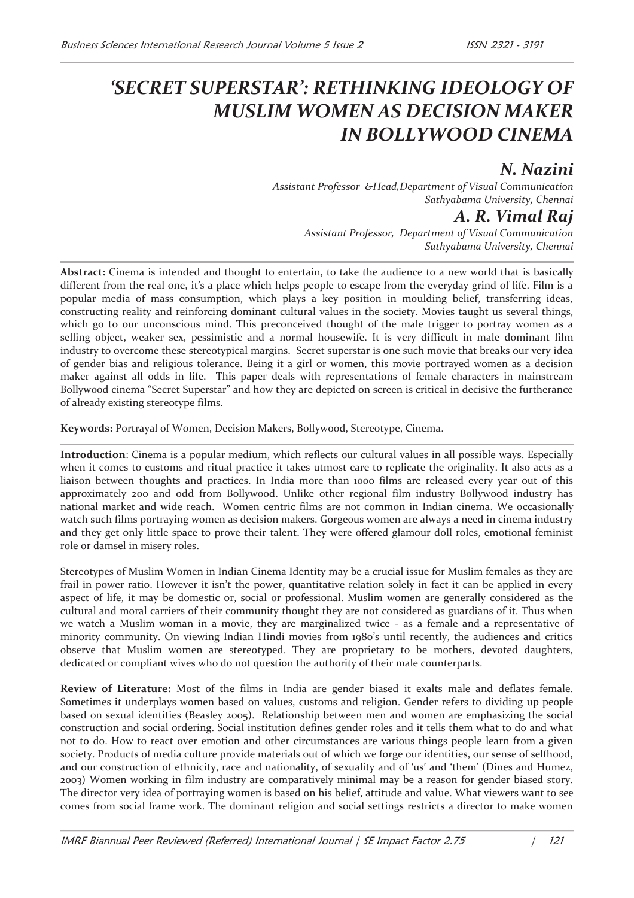# *'SECRET SUPERSTAR': RETHINKING IDEOLOGY OF MUSLIM WOMEN AS DECISION MAKER IN BOLLYWOOD CINEMA*

## *N. Nazini*

*Assistant Professor &Head,Department of Visual Communication Sathyabama University, Chennai* 

*A. R. Vimal Raj* 

*Assistant Professor, Department of Visual Communication Sathyabama University, Chennai* 

**Abstract:** Cinema is intended and thought to entertain, to take the audience to a new world that is basically different from the real one, it's a place which helps people to escape from the everyday grind of life. Film is a popular media of mass consumption, which plays a key position in moulding belief, transferring ideas, constructing reality and reinforcing dominant cultural values in the society. Movies taught us several things, which go to our unconscious mind. This preconceived thought of the male trigger to portray women as a selling object, weaker sex, pessimistic and a normal housewife. It is very difficult in male dominant film industry to overcome these stereotypical margins. Secret superstar is one such movie that breaks our very idea of gender bias and religious tolerance. Being it a girl or women, this movie portrayed women as a decision maker against all odds in life. This paper deals with representations of female characters in mainstream Bollywood cinema "Secret Superstar" and how they are depicted on screen is critical in decisive the furtherance of already existing stereotype films.

**Keywords:** Portrayal of Women, Decision Makers, Bollywood, Stereotype, Cinema.

**Introduction**: Cinema is a popular medium, which reflects our cultural values in all possible ways. Especially when it comes to customs and ritual practice it takes utmost care to replicate the originality. It also acts as a liaison between thoughts and practices. In India more than 1000 films are released every year out of this approximately 200 and odd from Bollywood. Unlike other regional film industry Bollywood industry has national market and wide reach. Women centric films are not common in Indian cinema. We occasionally watch such films portraying women as decision makers. Gorgeous women are always a need in cinema industry and they get only little space to prove their talent. They were offered glamour doll roles, emotional feminist role or damsel in misery roles.

Stereotypes of Muslim Women in Indian Cinema Identity may be a crucial issue for Muslim females as they are frail in power ratio. However it isn't the power, quantitative relation solely in fact it can be applied in every aspect of life, it may be domestic or, social or professional. Muslim women are generally considered as the cultural and moral carriers of their community thought they are not considered as guardians of it. Thus when we watch a Muslim woman in a movie, they are marginalized twice - as a female and a representative of minority community. On viewing Indian Hindi movies from 1980's until recently, the audiences and critics observe that Muslim women are stereotyped. They are proprietary to be mothers, devoted daughters, dedicated or compliant wives who do not question the authority of their male counterparts.

**Review of Literature:** Most of the films in India are gender biased it exalts male and deflates female. Sometimes it underplays women based on values, customs and religion. Gender refers to dividing up people based on sexual identities (Beasley 2005). Relationship between men and women are emphasizing the social construction and social ordering. Social institution defines gender roles and it tells them what to do and what not to do. How to react over emotion and other circumstances are various things people learn from a given society. Products of media culture provide materials out of which we forge our identities, our sense of selfhood, and our construction of ethnicity, race and nationality, of sexuality and of 'us' and 'them' (Dines and Humez, 2003) Women working in film industry are comparatively minimal may be a reason for gender biased story. The director very idea of portraying women is based on his belief, attitude and value. What viewers want to see comes from social frame work. The dominant religion and social settings restricts a director to make women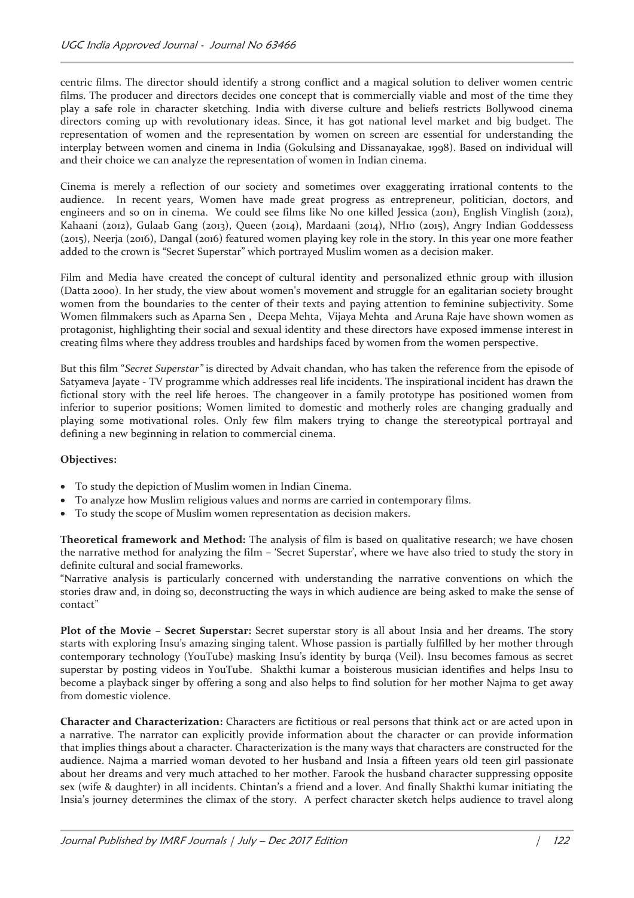centric films. The director should identify a strong conflict and a magical solution to deliver women centric films. The producer and directors decides one concept that is commercially viable and most of the time they play a safe role in character sketching. India with diverse culture and beliefs restricts Bollywood cinema directors coming up with revolutionary ideas. Since, it has got national level market and big budget. The representation of women and the representation by women on screen are essential for understanding the interplay between women and cinema in India (Gokulsing and Dissanayakae, 1998). Based on individual will and their choice we can analyze the representation of women in Indian cinema.

Cinema is merely a reflection of our society and sometimes over exaggerating irrational contents to the audience. In recent years, Women have made great progress as entrepreneur, politician, doctors, and engineers and so on in cinema. We could see films like No one killed Jessica (2011), English Vinglish (2012), Kahaani (2012), Gulaab Gang (2013), Queen (2014), Mardaani (2014), NH10 (2015), Angry Indian Goddessess (2015), Neerja (2016), Dangal (2016) featured women playing key role in the story. In this year one more feather added to the crown is "Secret Superstar" which portrayed Muslim women as a decision maker.

Film and Media have created the concept of cultural identity and personalized ethnic group with illusion (Datta 2000). In her study, the view about women's movement and struggle for an egalitarian society brought women from the boundaries to the center of their texts and paying attention to feminine subjectivity. Some Women filmmakers such as Aparna Sen , Deepa Mehta, Vijaya Mehta and Aruna Raje have shown women as protagonist, highlighting their social and sexual identity and these directors have exposed immense interest in creating films where they address troubles and hardships faced by women from the women perspective.

But this film "*Secret Superstar"* is directed by Advait chandan, who has taken the reference from the episode of Satyameva Jayate - TV programme which addresses real life incidents. The inspirational incident has drawn the fictional story with the reel life heroes. The changeover in a family prototype has positioned women from inferior to superior positions; Women limited to domestic and motherly roles are changing gradually and playing some motivational roles. Only few film makers trying to change the stereotypical portrayal and defining a new beginning in relation to commercial cinema.

#### **Objectives:**

- · To study the depiction of Muslim women in Indian Cinema.
- · To analyze how Muslim religious values and norms are carried in contemporary films.
- · To study the scope of Muslim women representation as decision makers.

**Theoretical framework and Method:** The analysis of film is based on qualitative research; we have chosen the narrative method for analyzing the film – 'Secret Superstar', where we have also tried to study the story in definite cultural and social frameworks.

"Narrative analysis is particularly concerned with understanding the narrative conventions on which the stories draw and, in doing so, deconstructing the ways in which audience are being asked to make the sense of contact"

**Plot of the Movie – Secret Superstar:** Secret superstar story is all about Insia and her dreams. The story starts with exploring Insu's amazing singing talent. Whose passion is partially fulfilled by her mother through contemporary technology (YouTube) masking Insu's identity by burqa (Veil). Insu becomes famous as secret superstar by posting videos in YouTube. Shakthi kumar a boisterous musician identifies and helps Insu to become a playback singer by offering a song and also helps to find solution for her mother Najma to get away from domestic violence.

**Character and Characterization:** Characters are fictitious or real persons that think act or are acted upon in a narrative. The narrator can explicitly provide information about the character or can provide information that implies things about a character. Characterization is the many ways that characters are constructed for the audience. Najma a married woman devoted to her husband and Insia a fifteen years old teen girl passionate about her dreams and very much attached to her mother. Farook the husband character suppressing opposite sex (wife & daughter) in all incidents. Chintan's a friend and a lover. And finally Shakthi kumar initiating the Insia's journey determines the climax of the story. A perfect character sketch helps audience to travel along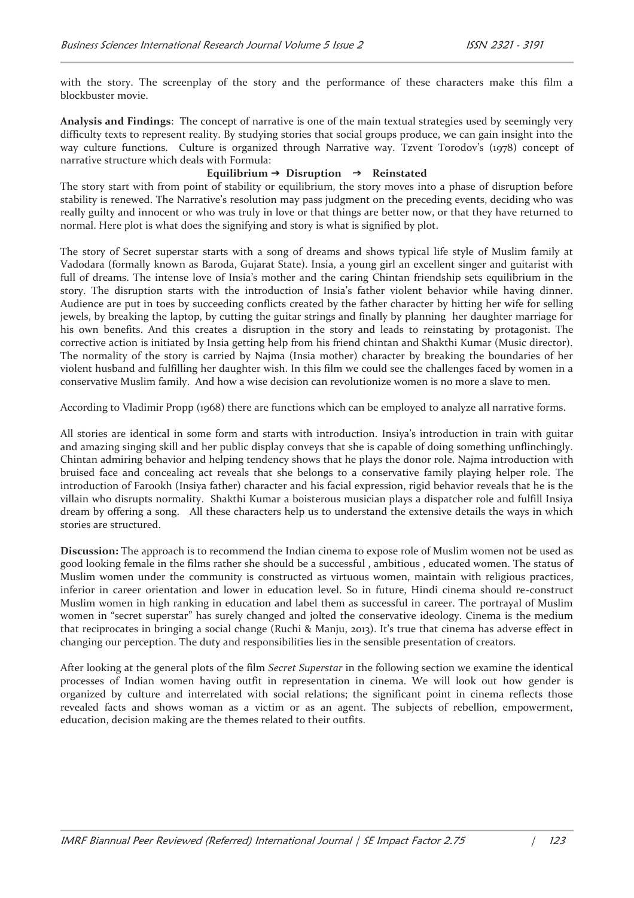with the story. The screenplay of the story and the performance of these characters make this film a blockbuster movie.

**Analysis and Findings**: The concept of narrative is one of the main textual strategies used by seemingly very difficulty texts to represent reality. By studying stories that social groups produce, we can gain insight into the way culture functions. Culture is organized through Narrative way. Tzvent Torodov's (1978) concept of narrative structure which deals with Formula:

#### Equilibrium  $\rightarrow$  Disruption  $\rightarrow$  Reinstated

The story start with from point of stability or equilibrium, the story moves into a phase of disruption before stability is renewed. The Narrative's resolution may pass judgment on the preceding events, deciding who was really guilty and innocent or who was truly in love or that things are better now, or that they have returned to normal. Here plot is what does the signifying and story is what is signified by plot.

The story of Secret superstar starts with a song of dreams and shows typical life style of Muslim family at Vadodara (formally known as Baroda, Gujarat State). Insia, a young girl an excellent singer and guitarist with full of dreams. The intense love of Insia's mother and the caring Chintan friendship sets equilibrium in the story. The disruption starts with the introduction of Insia's father violent behavior while having dinner. Audience are put in toes by succeeding conflicts created by the father character by hitting her wife for selling jewels, by breaking the laptop, by cutting the guitar strings and finally by planning her daughter marriage for his own benefits. And this creates a disruption in the story and leads to reinstating by protagonist. The corrective action is initiated by Insia getting help from his friend chintan and Shakthi Kumar (Music director). The normality of the story is carried by Najma (Insia mother) character by breaking the boundaries of her violent husband and fulfilling her daughter wish. In this film we could see the challenges faced by women in a conservative Muslim family. And how a wise decision can revolutionize women is no more a slave to men.

According to Vladimir Propp (1968) there are functions which can be employed to analyze all narrative forms.

All stories are identical in some form and starts with introduction. Insiya's introduction in train with guitar and amazing singing skill and her public display conveys that she is capable of doing something unflinchingly. Chintan admiring behavior and helping tendency shows that he plays the donor role. Najma introduction with bruised face and concealing act reveals that she belongs to a conservative family playing helper role. The introduction of Farookh (Insiya father) character and his facial expression, rigid behavior reveals that he is the villain who disrupts normality. Shakthi Kumar a boisterous musician plays a dispatcher role and fulfill Insiya dream by offering a song. All these characters help us to understand the extensive details the ways in which stories are structured.

**Discussion:** The approach is to recommend the Indian cinema to expose role of Muslim women not be used as good looking female in the films rather she should be a successful , ambitious , educated women. The status of Muslim women under the community is constructed as virtuous women, maintain with religious practices, inferior in career orientation and lower in education level. So in future, Hindi cinema should re-construct Muslim women in high ranking in education and label them as successful in career. The portrayal of Muslim women in "secret superstar" has surely changed and jolted the conservative ideology. Cinema is the medium that reciprocates in bringing a social change (Ruchi & Manju, 2013). It's true that cinema has adverse effect in changing our perception. The duty and responsibilities lies in the sensible presentation of creators.

After looking at the general plots of the film *Secret Superstar* in the following section we examine the identical processes of Indian women having outfit in representation in cinema. We will look out how gender is organized by culture and interrelated with social relations; the significant point in cinema reflects those revealed facts and shows woman as a victim or as an agent. The subjects of rebellion, empowerment, education, decision making are the themes related to their outfits.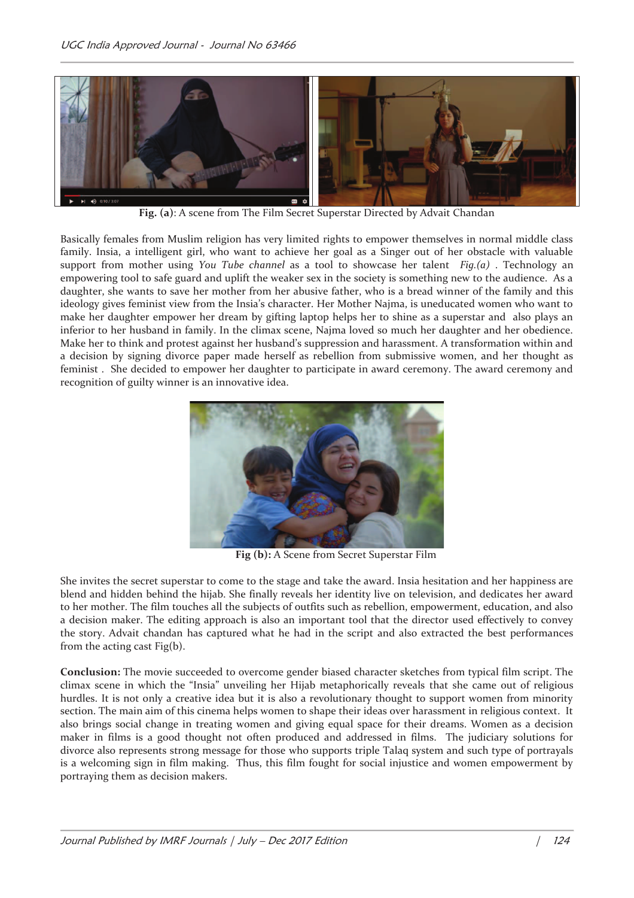

**Fig. (a)**: A scene from The Film Secret Superstar Directed by Advait Chandan

Basically females from Muslim religion has very limited rights to empower themselves in normal middle class family. Insia, a intelligent girl, who want to achieve her goal as a Singer out of her obstacle with valuable support from mother using *You Tube channel* as a tool to showcase her talent *Fig.(a)* . Technology an empowering tool to safe guard and uplift the weaker sex in the society is something new to the audience. As a daughter, she wants to save her mother from her abusive father, who is a bread winner of the family and this ideology gives feminist view from the Insia's character. Her Mother Najma, is uneducated women who want to make her daughter empower her dream by gifting laptop helps her to shine as a superstar and also plays an inferior to her husband in family. In the climax scene, Najma loved so much her daughter and her obedience. Make her to think and protest against her husband's suppression and harassment. A transformation within and a decision by signing divorce paper made herself as rebellion from submissive women, and her thought as feminist . She decided to empower her daughter to participate in award ceremony. The award ceremony and recognition of guilty winner is an innovative idea.



**Fig (b):** A Scene from Secret Superstar Film

She invites the secret superstar to come to the stage and take the award. Insia hesitation and her happiness are blend and hidden behind the hijab. She finally reveals her identity live on television, and dedicates her award to her mother. The film touches all the subjects of outfits such as rebellion, empowerment, education, and also a decision maker. The editing approach is also an important tool that the director used effectively to convey the story. Advait chandan has captured what he had in the script and also extracted the best performances from the acting cast Fig(b).

**Conclusion:** The movie succeeded to overcome gender biased character sketches from typical film script. The climax scene in which the "Insia" unveiling her Hijab metaphorically reveals that she came out of religious hurdles. It is not only a creative idea but it is also a revolutionary thought to support women from minority section. The main aim of this cinema helps women to shape their ideas over harassment in religious context. It also brings social change in treating women and giving equal space for their dreams. Women as a decision maker in films is a good thought not often produced and addressed in films. The judiciary solutions for divorce also represents strong message for those who supports triple Talaq system and such type of portrayals is a welcoming sign in film making. Thus, this film fought for social injustice and women empowerment by portraying them as decision makers.